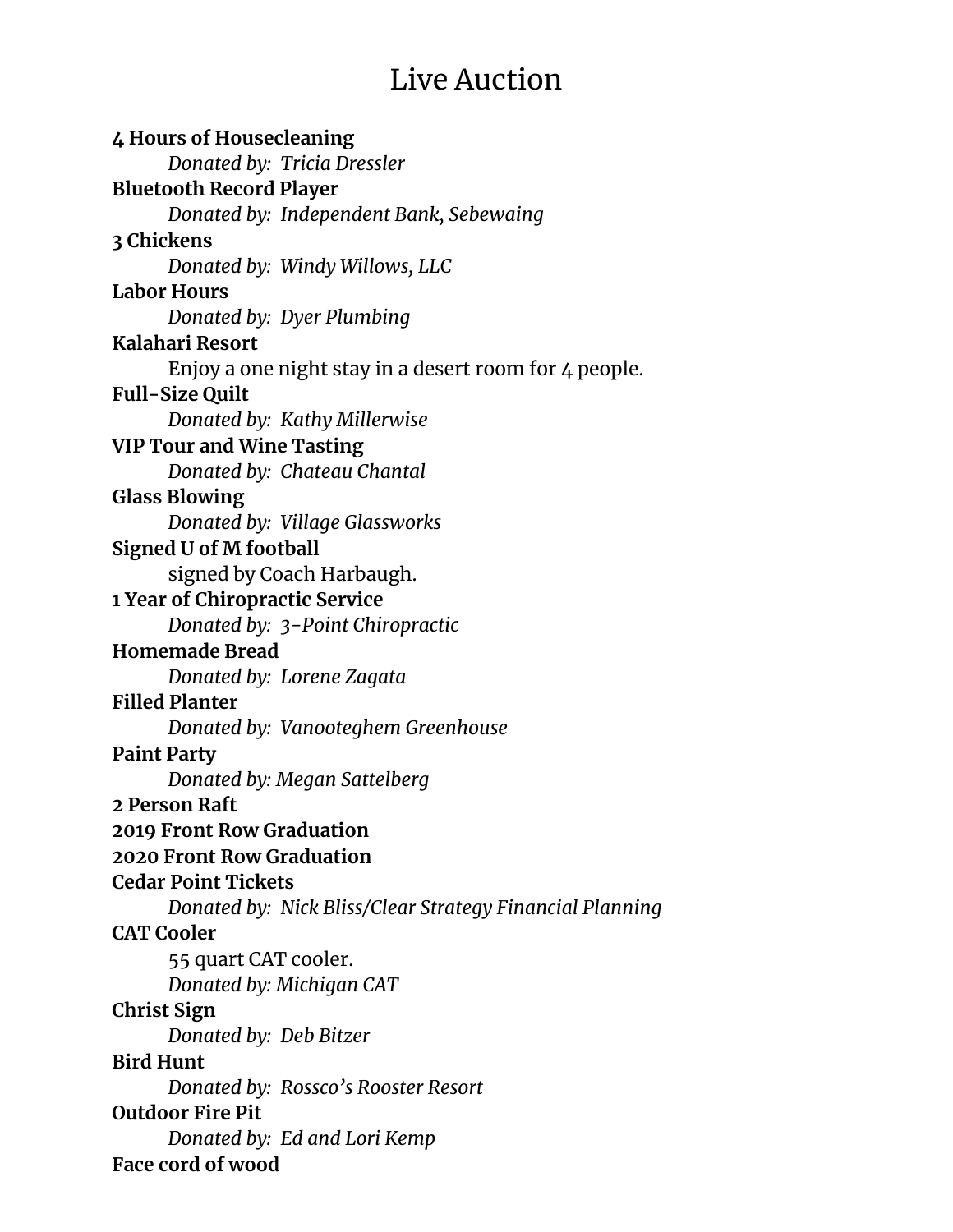## Live Auction

**4 Hours of Housecleaning** *Donated by: Tricia Dressler* **Bluetooth Record Player** *Donated by: Independent Bank, Sebewaing* **3 Chickens** *Donated by: Windy Willows, LLC* **Labor Hours** *Donated by: Dyer Plumbing* **Kalahari Resort** Enjoy a one night stay in a desert room for 4 people. **Full-Size Quilt** *Donated by: Kathy Millerwise* **VIP Tour and Wine Tasting** *Donated by: Chateau Chantal* **Glass Blowing** *Donated by: Village Glassworks* **Signed U of M football** signed by Coach Harbaugh. **1 Year of Chiropractic Service** *Donated by: 3-Point Chiropractic* **Homemade Bread** *Donated by: Lorene Zagata* **Filled Planter** *Donated by: Vanooteghem Greenhouse* **Paint Party** *Donated by: Megan Sattelberg* **2 Person Raft 2019 Front Row Graduation 2020 Front Row Graduation Cedar Point Tickets** *Donated by: Nick Bliss/Clear Strategy Financial Planning* **CAT Cooler** 55 quart CAT cooler. *Donated by: Michigan CAT* **Christ Sign** *Donated by: Deb Bitzer* **Bird Hunt** *Donated by: Rossco's Rooster Resort* **Outdoor Fire Pit** *Donated by: Ed and Lori Kemp* **Face cord of wood**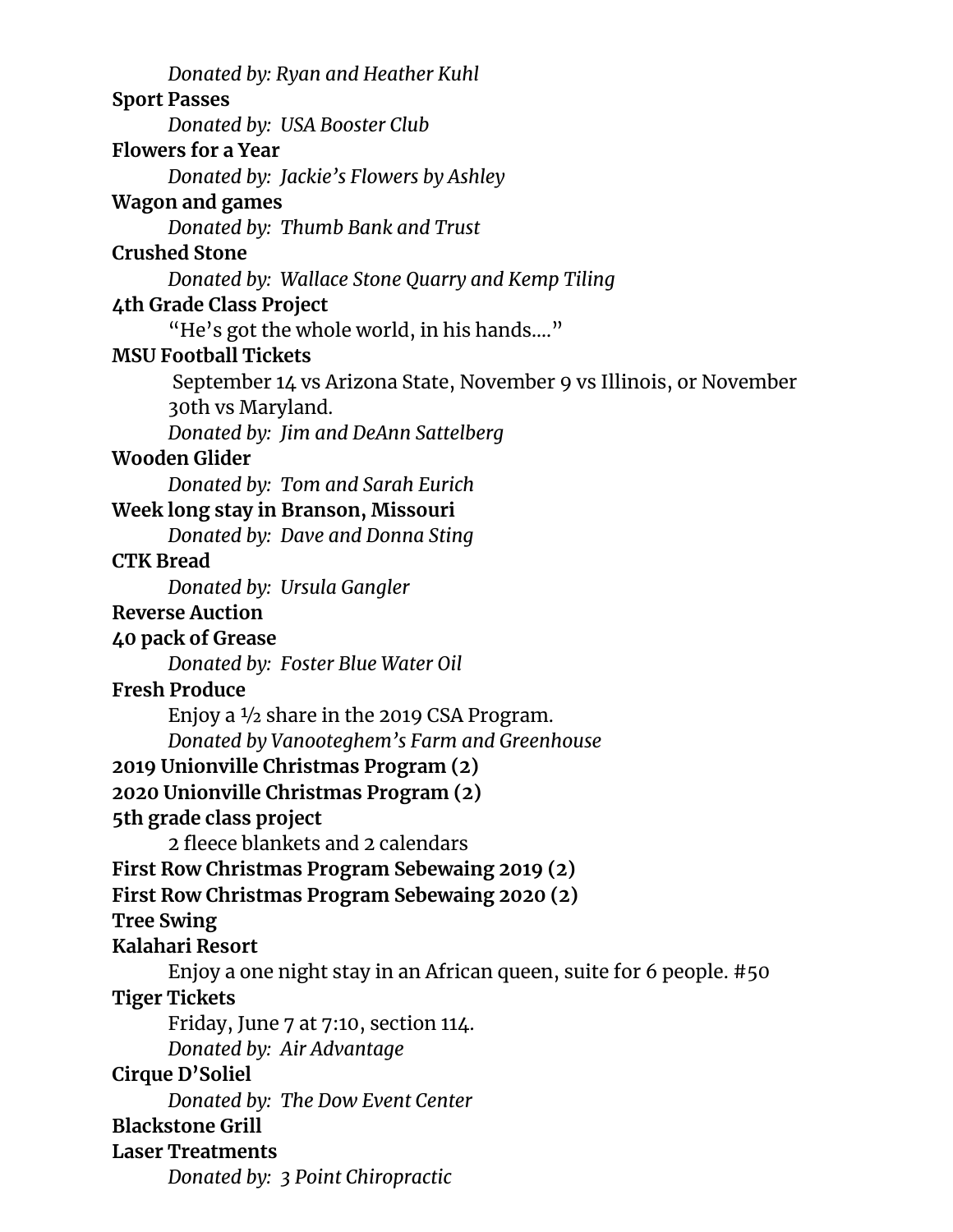*Donated by: Ryan and Heather Kuhl* **Sport Passes** *Donated by: USA Booster Club* **Flowers for a Year** *Donated by: Jackie's Flowers by Ashley* **Wagon and games** *Donated by: Thumb Bank and Trust* **Crushed Stone** *Donated by: Wallace Stone Quarry and Kemp Tiling* **4th Grade Class Project** "He's got the whole world, in his hands…." **MSU Football Tickets** September 14 vs Arizona State, November 9 vs Illinois, or November 30th vs Maryland. *Donated by: Jim and DeAnn Sattelberg* **Wooden Glider** *Donated by: Tom and Sarah Eurich* **Week long stay in Branson, Missouri** *Donated by: Dave and Donna Sting* **CTK Bread** *Donated by: Ursula Gangler* **Reverse Auction 40 pack of Grease** *Donated by: Foster Blue Water Oil* **Fresh Produce** Enjoy a ½ share in the 2019 CSA Program. *Donated by Vanooteghem's Farm and Greenhouse* **2019 Unionville Christmas Program (2) 2020 Unionville Christmas Program (2) 5th grade class project** 2 fleece blankets and 2 calendars **First Row Christmas Program Sebewaing 2019 (2) First Row Christmas Program Sebewaing 2020 (2) Tree Swing Kalahari Resort** Enjoy a one night stay in an African queen, suite for 6 people. #50 **Tiger Tickets** Friday, June 7 at 7:10, section 114. *Donated by: Air Advantage* **Cirque D'Soliel** *Donated by: The Dow Event Center* **Blackstone Grill Laser Treatments** *Donated by: 3 Point Chiropractic*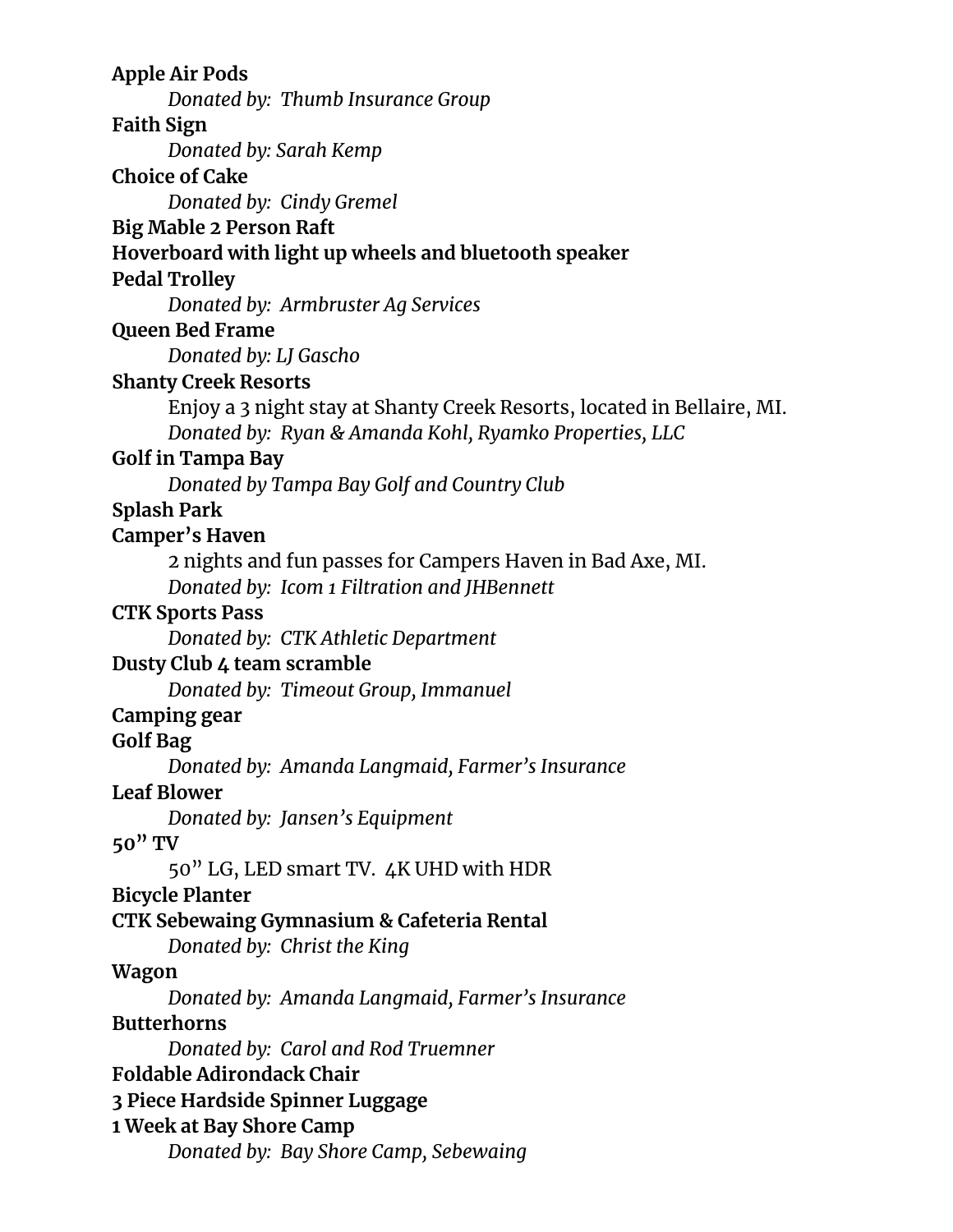**Apple Air Pods** *Donated by: Thumb Insurance Group* **Faith Sign** *Donated by: Sarah Kemp* **Choice of Cake** *Donated by: Cindy Gremel* **Big Mable 2 Person Raft Hoverboard with light up wheels and bluetooth speaker Pedal Trolley** *Donated by: Armbruster Ag Services* **Queen Bed Frame** *Donated by: LJ Gascho* **Shanty Creek Resorts** Enjoy a 3 night stay at Shanty Creek Resorts, located in Bellaire, MI. *Donated by: Ryan & Amanda Kohl, Ryamko Properties, LLC* **Golf in Tampa Bay** *Donated by Tampa Bay Golf and Country Club* **Splash Park Camper's Haven** 2 nights and fun passes for Campers Haven in Bad Axe, MI. *Donated by: Icom 1 Filtration and JHBennett* **CTK Sports Pass** *Donated by: CTK Athletic Department* **Dusty Club 4 team scramble** *Donated by: Timeout Group, Immanuel* **Camping gear Golf Bag** *Donated by: Amanda Langmaid, Farmer's Insurance* **Leaf Blower** *Donated by: Jansen's Equipment* **50" TV** 50" LG, LED smart TV. 4K UHD with HDR **Bicycle Planter CTK Sebewaing Gymnasium & Cafeteria Rental** *Donated by: Christ the King* **Wagon** *Donated by: Amanda Langmaid, Farmer's Insurance* **Butterhorns** *Donated by: Carol and Rod Truemner* **Foldable Adirondack Chair 3 Piece Hardside Spinner Luggage 1 Week at Bay Shore Camp** *Donated by: Bay Shore Camp, Sebewaing*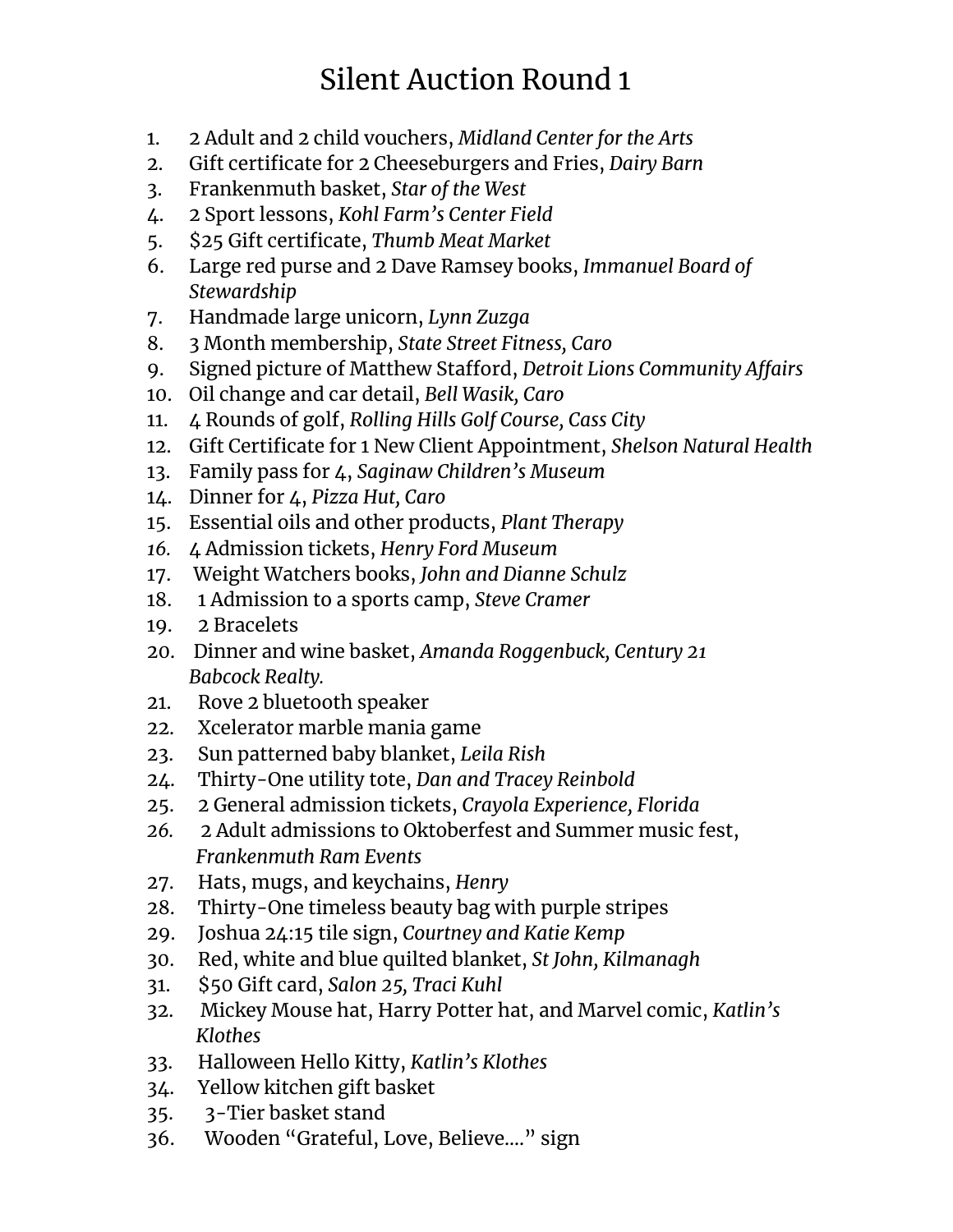## Silent Auction Round 1

- 1. 2 Adult and 2 child vouchers, *Midland Center for the Arts*
- 2. Gift certificate for 2 Cheeseburgers and Fries, *Dairy Barn*
- 3. Frankenmuth basket, *Star of the West*
- 4. 2 Sport lessons, *Kohl Farm's Center Field*
- 5. \$25 Gift certificate, *Thumb Meat Market*
- 6. Large red purse and 2 Dave Ramsey books, *Immanuel Board of Stewardship*
- 7. Handmade large unicorn, *Lynn Zuzga*
- 8. 3 Month membership, *State Street Fitness, Caro*
- 9. Signed picture of Matthew Stafford, *Detroit Lions Community Affairs*
- 10. Oil change and car detail, *Bell Wasik, Caro*
- 11. 4 Rounds of golf, *Rolling Hills Golf Course, Cass City*
- 12. Gift Certificate for 1 New Client Appointment, *Shelson Natural Health*
- 13. Family pass for 4, *Saginaw Children's Museum*
- 14. Dinner for 4, *Pizza Hut, Caro*
- 15. Essential oils and other products, *Plant Therapy*
- *16.* 4 Admission tickets, *Henry Ford Museum*
- 17. Weight Watchers books, *John and Dianne Schulz*
- 18. 1 Admission to a sports camp, *Steve Cramer*
- 19. 2 Bracelets
- 20. Dinner and wine basket, *Amanda Roggenbuck, Century 21 Babcock Realty.*
- 21. Rove 2 bluetooth speaker
- 22. Xcelerator marble mania game
- 23. Sun patterned baby blanket, *Leila Rish*
- 24. Thirty-One utility tote, *Dan and Tracey Reinbold*
- 25. 2 General admission tickets, *Crayola Experience, Florida*
- *26.* 2 Adult admissions to Oktoberfest and Summer music fest, *Frankenmuth Ram Events*
- 27. Hats, mugs, and keychains, *Henry*
- 28. Thirty-One timeless beauty bag with purple stripes
- 29. Joshua 24:15 tile sign, *Courtney and Katie Kemp*
- 30. Red, white and blue quilted blanket, *St John, Kilmanagh*
- 31. \$50 Gift card, *Salon 25, Traci Kuhl*
- 32. Mickey Mouse hat, Harry Potter hat, and Marvel comic, *Katlin's Klothes*
- 33. Halloween Hello Kitty, *Katlin's Klothes*
- 34. Yellow kitchen gift basket
- 35. 3-Tier basket stand
- 36. Wooden "Grateful, Love, Believe…." sign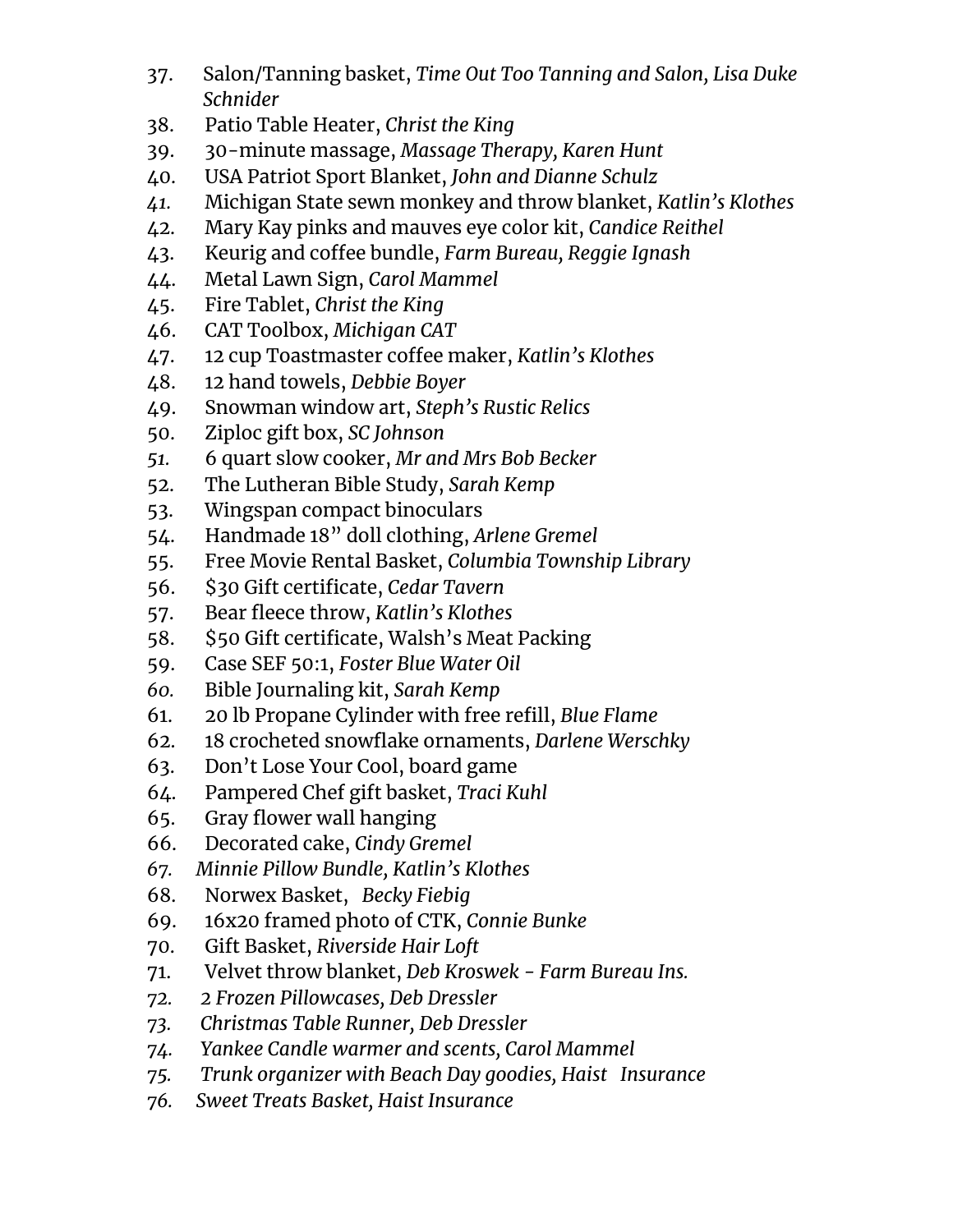- 37. Salon/Tanning basket, *Time Out Too Tanning and Salon, Lisa Duke Schnider*
- 38. Patio Table Heater, *Christ the King*
- 39. 30-minute massage, *Massage Therapy, Karen Hunt*
- 40. USA Patriot Sport Blanket, *John and Dianne Schulz*
- *41.* Michigan State sewn monkey and throw blanket, *Katlin's Klothes*
- 42. Mary Kay pinks and mauves eye color kit, *Candice Reithel*
- 43. Keurig and coffee bundle, *Farm Bureau, Reggie Ignash*
- 44. Metal Lawn Sign, *Carol Mammel*
- 45. Fire Tablet, *Christ the King*
- 46. CAT Toolbox, *Michigan CAT*
- 47. 12 cup Toastmaster coffee maker, *Katlin's Klothes*
- 48. 12 hand towels, *Debbie Boyer*
- 49. Snowman window art, *Steph's Rustic Relics*
- 50. Ziploc gift box, *SC Johnson*
- *51.* 6 quart slow cooker, *Mr and Mrs Bob Becker*
- 52. The Lutheran Bible Study, *Sarah Kemp*
- 53. Wingspan compact binoculars
- 54. Handmade 18" doll clothing, *Arlene Gremel*
- 55. Free Movie Rental Basket, *Columbia Township Library*
- 56. \$30 Gift certificate, *Cedar Tavern*
- 57. Bear fleece throw, *Katlin's Klothes*
- 58. \$50 Gift certificate, Walsh's Meat Packing
- 59. Case SEF 50:1, *Foster Blue Water Oil*
- *60.* Bible Journaling kit, *Sarah Kemp*
- 61. 20 lb Propane Cylinder with free refill, *Blue Flame*
- 62. 18 crocheted snowflake ornaments, *Darlene Werschky*
- 63. Don't Lose Your Cool, board game
- 64. Pampered Chef gift basket, *Traci Kuhl*
- 65. Gray flower wall hanging
- 66. Decorated cake, *Cindy Gremel*
- *67. Minnie Pillow Bundle, Katlin's Klothes*
- 68. Norwex Basket, *Becky Fiebig*
- 69. 16x20 framed photo of CTK, *Connie Bunke*
- 70. Gift Basket, *Riverside Hair Loft*
- 71. Velvet throw blanket, *Deb Kroswek - Farm Bureau Ins.*
- *72. 2 Frozen Pillowcases, Deb Dressler*
- *73. Christmas Table Runner, Deb Dressler*
- *74. Yankee Candle warmer and scents, Carol Mammel*
- *75. Trunk organizer with Beach Day goodies, Haist Insurance*
- *76. Sweet Treats Basket, Haist Insurance*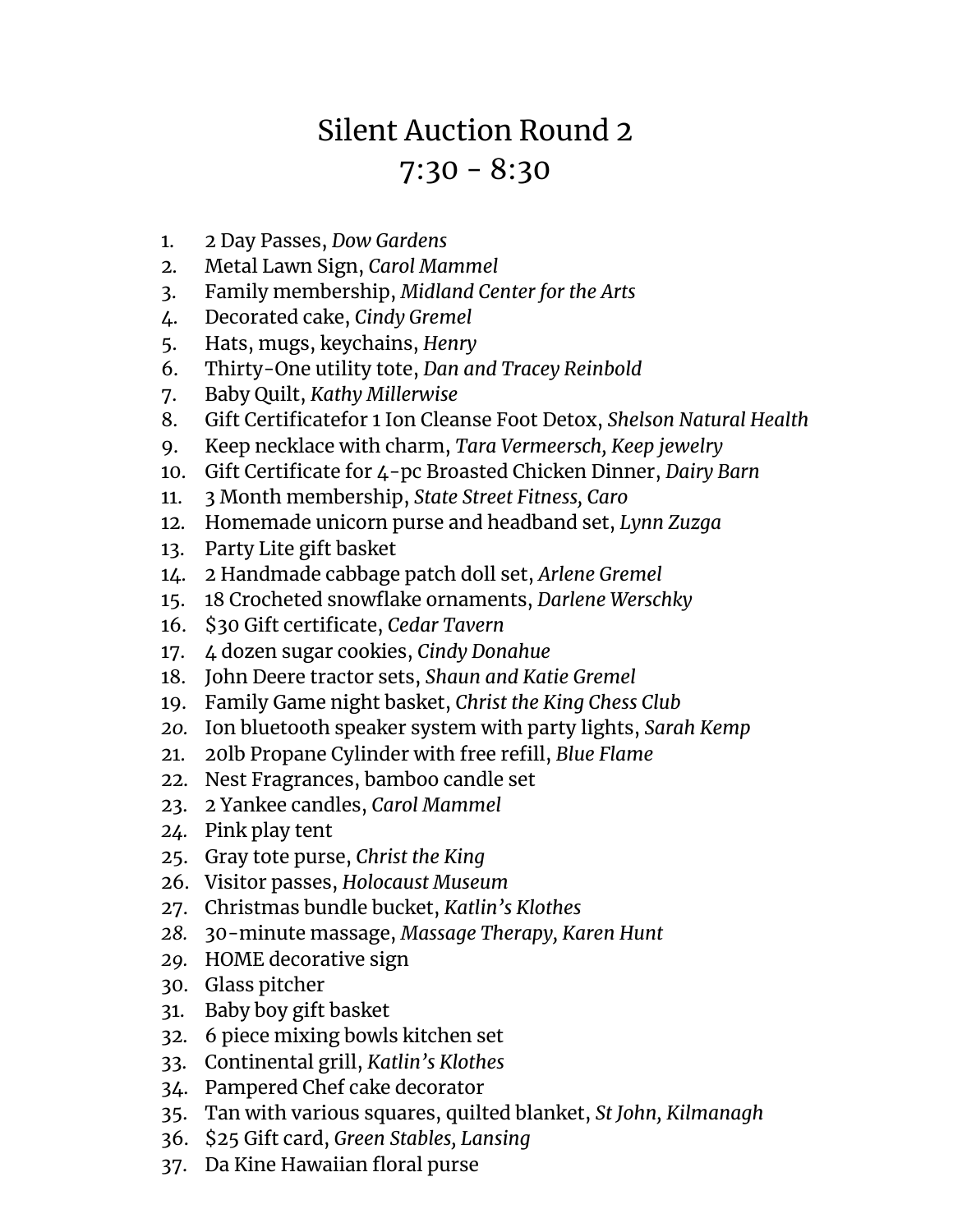## Silent Auction Round 2  $7:30 - 8:30$

- 1. 2 Day Passes, *Dow Gardens*
- 2. Metal Lawn Sign, *Carol Mammel*
- 3. Family membership, *Midland Center for the Arts*
- 4. Decorated cake, *Cindy Gremel*
- 5. Hats, mugs, keychains, *Henry*
- 6. Thirty-One utility tote, *Dan and Tracey Reinbold*
- 7. Baby Quilt, *Kathy Millerwise*
- 8. Gift Certificatefor 1 Ion Cleanse Foot Detox, *Shelson Natural Health*
- 9. Keep necklace with charm, *Tara Vermeersch, Keep jewelry*
- 10. Gift Certificate for 4-pc Broasted Chicken Dinner, *Dairy Barn*
- 11. 3 Month membership, *State Street Fitness, Caro*
- 12. Homemade unicorn purse and headband set, *Lynn Zuzga*
- 13. Party Lite gift basket
- 14. 2 Handmade cabbage patch doll set, *Arlene Gremel*
- 15. 18 Crocheted snowflake ornaments, *Darlene Werschky*
- 16. \$30 Gift certificate, *Cedar Tavern*
- 17. 4 dozen sugar cookies, *Cindy Donahue*
- 18. John Deere tractor sets, *Shaun and Katie Gremel*
- 19. Family Game night basket, *Christ the King Chess Club*
- *20.* Ion bluetooth speaker system with party lights, *Sarah Kemp*
- 21. 20lb Propane Cylinder with free refill, *Blue Flame*
- 22. Nest Fragrances, bamboo candle set
- 23. 2 Yankee candles, *Carol Mammel*
- *24.* Pink play tent
- 25. Gray tote purse, *Christ the King*
- 26. Visitor passes, *Holocaust Museum*
- 27. Christmas bundle bucket, *Katlin's Klothes*
- *28.* 30-minute massage, *Massage Therapy, Karen Hunt*
- *29.* HOME decorative sign
- 30. Glass pitcher
- 31. Baby boy gift basket
- 32. 6 piece mixing bowls kitchen set
- 33. Continental grill, *Katlin's Klothes*
- 34. Pampered Chef cake decorator
- 35. Tan with various squares, quilted blanket, *St John, Kilmanagh*
- 36. \$25 Gift card, *Green Stables, Lansing*
- 37. Da Kine Hawaiian floral purse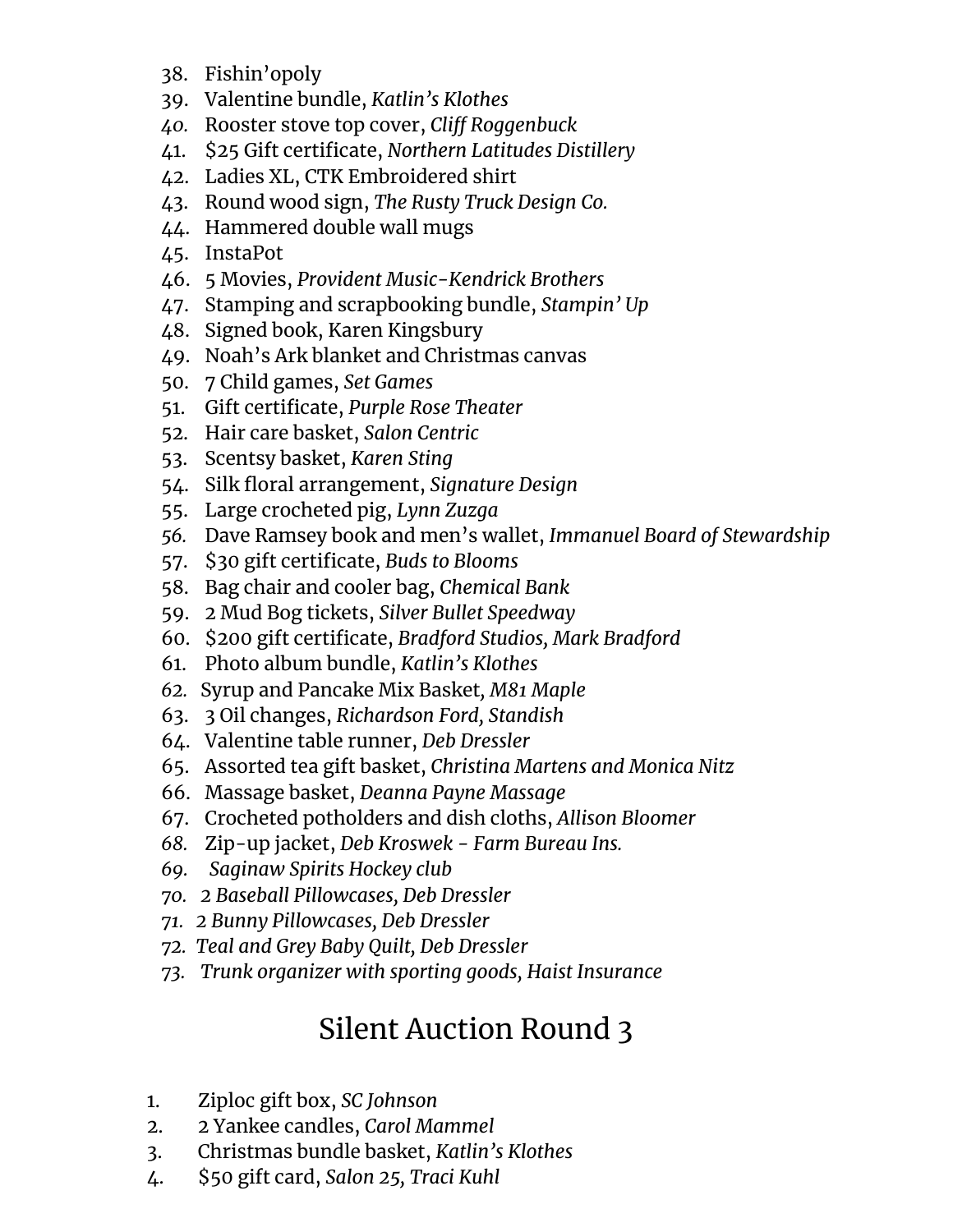- 38. Fishin'opoly
- 39. Valentine bundle, *Katlin's Klothes*
- *40.* Rooster stove top cover, *Cliff Roggenbuck*
- 41. \$25 Gift certificate, *Northern Latitudes Distillery*
- 42. Ladies XL, CTK Embroidered shirt
- 43. Round wood sign, *The Rusty Truck Design Co.*
- 44. Hammered double wall mugs
- 45. InstaPot
- 46. 5 Movies, *Provident Music-Kendrick Brothers*
- 47. Stamping and scrapbooking bundle, *Stampin' Up*
- 48. Signed book, Karen Kingsbury
- 49. Noah's Ark blanket and Christmas canvas
- 50. 7 Child games, *Set Games*
- 51. Gift certificate, *Purple Rose Theater*
- 52. Hair care basket, *Salon Centric*
- 53. Scentsy basket, *Karen Sting*
- 54. Silk floral arrangement, *Signature Design*
- 55. Large crocheted pig, *Lynn Zuzga*
- *56.* Dave Ramsey book and men's wallet, *Immanuel Board of Stewardship*
- 57. \$30 gift certificate, *Buds to Blooms*
- 58. Bag chair and cooler bag, *Chemical Bank*
- 59. 2 Mud Bog tickets, *Silver Bullet Speedway*
- 60. \$200 gift certificate, *Bradford Studios, Mark Bradford*
- 61. Photo album bundle, *Katlin's Klothes*
- *62.* Syrup and Pancake Mix Basket*, M81 Maple*
- 63. 3 Oil changes, *Richardson Ford, Standish*
- 64. Valentine table runner, *Deb Dressler*
- 65. Assorted tea gift basket, *Christina Martens and Monica Nitz*
- 66. Massage basket, *Deanna Payne Massage*
- 67. Crocheted potholders and dish cloths, *Allison Bloomer*
- *68.* Zip-up jacket, *Deb Kroswek - Farm Bureau Ins.*
- *69. Saginaw Spirits Hockey club*
- *70. 2 Baseball Pillowcases, Deb Dressler*
- *71. 2 Bunny Pillowcases, Deb Dressler*
- *72. Teal and Grey Baby Quilt, Deb Dressler*
- *73. Trunk organizer with sporting goods, Haist Insurance*

## Silent Auction Round 3

- 1. Ziploc gift box, *SC Johnson*
- 2. 2 Yankee candles, *Carol Mammel*
- 3. Christmas bundle basket, *Katlin's Klothes*
- 4. \$50 gift card, *Salon 25, Traci Kuhl*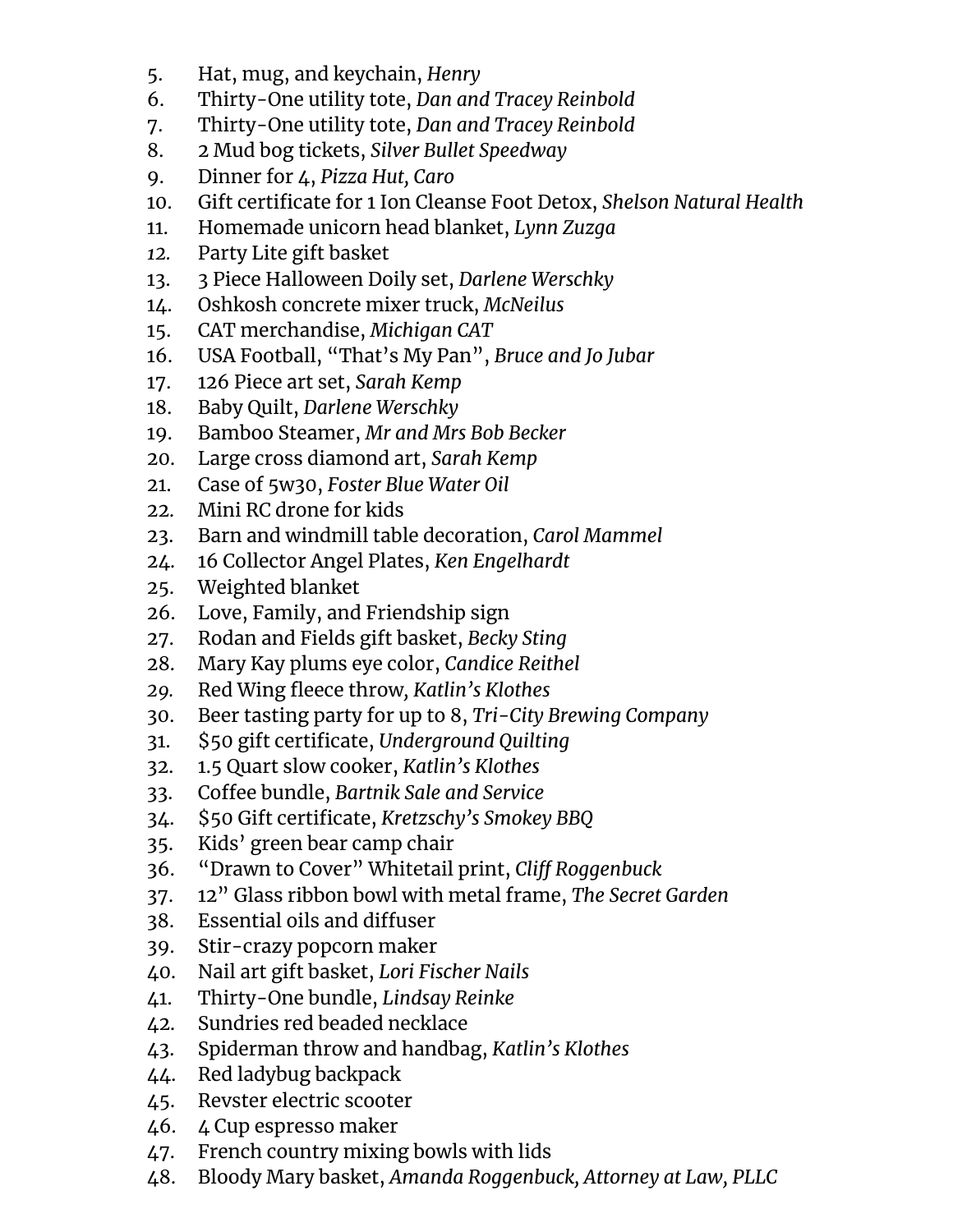- 5. Hat, mug, and keychain, *Henry*
- 6. Thirty-One utility tote, *Dan and Tracey Reinbold*
- 7. Thirty-One utility tote, *Dan and Tracey Reinbold*
- 8. 2 Mud bog tickets, *Silver Bullet Speedway*
- 9. Dinner for 4, *Pizza Hut, Caro*
- 10. Gift certificate for 1 Ion Cleanse Foot Detox, *Shelson Natural Health*
- 11. Homemade unicorn head blanket, *Lynn Zuzga*
- *12.* Party Lite gift basket
- 13. 3 Piece Halloween Doily set, *Darlene Werschky*
- 14. Oshkosh concrete mixer truck, *McNeilus*
- 15. CAT merchandise, *Michigan CAT*
- 16. USA Football, "That's My Pan", *Bruce and Jo Jubar*
- 17. 126 Piece art set, *Sarah Kemp*
- 18. Baby Quilt, *Darlene Werschky*
- 19. Bamboo Steamer, *Mr and Mrs Bob Becker*
- 20. Large cross diamond art, *Sarah Kemp*
- 21. Case of 5w30, *Foster Blue Water Oil*
- 22. Mini RC drone for kids
- 23. Barn and windmill table decoration, *Carol Mammel*
- 24. 16 Collector Angel Plates, *Ken Engelhardt*
- 25. Weighted blanket
- 26. Love, Family, and Friendship sign
- 27. Rodan and Fields gift basket, *Becky Sting*
- 28. Mary Kay plums eye color, *Candice Reithel*
- *29.* Red Wing fleece throw*, Katlin's Klothes*
- 30. Beer tasting party for up to 8, *Tri-City Brewing Company*
- 31. \$50 gift certificate, *Underground Quilting*
- 32. 1.5 Quart slow cooker, *Katlin's Klothes*
- 33. Coffee bundle, *Bartnik Sale and Service*
- 34. \$50 Gift certificate, *Kretzschy's Smokey BBQ*
- 35. Kids' green bear camp chair
- 36. "Drawn to Cover" Whitetail print, *Cliff Roggenbuck*
- 37. 12" Glass ribbon bowl with metal frame, *The Secret Garden*
- 38. Essential oils and diffuser
- 39. Stir-crazy popcorn maker
- 40. Nail art gift basket, *Lori Fischer Nails*
- 41. Thirty-One bundle, *Lindsay Reinke*
- 42. Sundries red beaded necklace
- 43. Spiderman throw and handbag, *Katlin's Klothes*
- 44. Red ladybug backpack
- 45. Revster electric scooter
- 46. 4 Cup espresso maker
- 47. French country mixing bowls with lids
- 48. Bloody Mary basket, *Amanda Roggenbuck, Attorney at Law, PLLC*